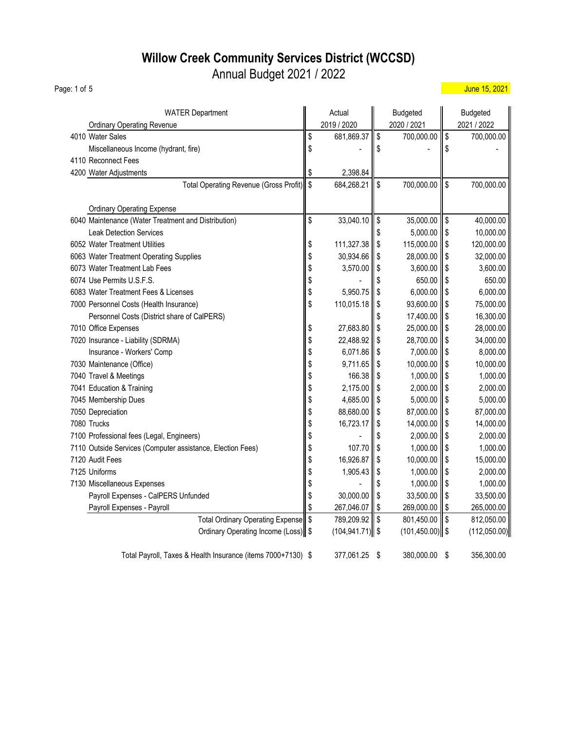### **Willow Creek Community Services District (WCCSD)**

Annual Budget 2021 / 2022

WATER Department **Actual Budgeted** Budgeted Budgeted Ordinary Operating Revenue 2019 / 2019 / 2020 / 2020 / 2020 / 2021 / 2021 / 2022 4010 Water Sales 681,869.37  $\|\$\$  681,869.37  $\|\$\$  700,000.00  $\|\$\$  700,000.00 Miscellaneous Income (hydrant, fire)  $\parallel$  \$ -  $\parallel$  \$ -  $\parallel$  \$ 4110 Reconnect Fees 4200 Water Adjustments **1998** and 2,398.84 Total Operating Revenue (Gross Profit)  $\|\$\ 684,268.21$   $\|\$\ 700,000.00$   $\|\$\$  700,000.00 Ordinary Operating Expense 6040 Maintenance (Water Treatment and Distribution)  $\|\$$  33,040.10  $\|\$$  35,000.00  $\|\$$  40,000.00 Leak Detection Services **10,000.00 10,000.00 10,000.00 10,000.00 15 10,000.00 15 10,000.00** 6052 Water Treatment Utilities **120,000.00 111,327.38** \$ 115,000.00 111,327.38 \$ 120,000.00 6063 Water Treatment Operating Supplies 30 and 30,934.66  $\|\$$  28,000.00  $\|\$$  32,000.00 6073 Water Treatment Lab Fees 3,600.00  $\parallel$  \$ 3,570.00  $\parallel$  \$ 3,600.00  $\parallel$  \$ 3,600.00 6074 Use Permits U.S.F.S. 650.00  $\| \text{\$}$   $\| \text{\$}$   $\| \text{\$}$   $\| \text{\$}$   $\| \text{\$}$  650.00  $\| \text{\$}$  650.00 6083 Water Treatment Fees & Licenses 6.000.00  $\|$ \$ 6,000.00  $\|$ \$ 6,000.00  $\|$ \$ 6,000.00 7000 Personnel Costs (Health Insurance) 110,015.18 \$ 93,600.00 \$ 75,000.00 ₹ 75,000.00 Personnel Costs (District share of CalPERS) **17,400.00** 16,300.00 16,300.00 7010 Office Expenses 28,000.00 **27,683.80**  $\parallel$  \$ 27,683.80  $\parallel$  \$ 25,000.00  $\parallel$  \$ 28,000.00 7020 Insurance - Liability (SDRMA)  $\parallel$  \$ 22,488.92  $\parallel$  \$ 28,700.00  $\parallel$  \$ 34,000.00  $\|\$$  7,000.00  $\|\$\$  8,000.00  $\|$  5 7,000.00  $\|\$\$  8,000.00  $\|$  6,071.86  $\|\$\$  7,000.00  $\|\$\$ 7030 Maintenance (Office) 10,000.00  $\|$ \$ 9,711.65  $\|$ \$ 10,000.00  $\|$ \$ 10,000.00 7040 Travel & Meetings 1,000.00 **166.38** \$ 1,000.00 166.38 \$ 1,000.00 166.38 \$ 1,000.00 16 7041 Education & Training 2,000.00 **6** 2,175.00 **1** \$ 2,175.00 **1** \$ 2,000.00 **1** \$ 2,000.00 7045 Membership Dues 6,000.00 **1** \$ 5,000.00 **1** \$ 5,000.00 **1** \$ 5,000.00 **1** \$ 5,000.00 7050 Depreciation **88,000.00** 8 88,680.00 8 87,000.00 8 87,000.00 8 7080 Trucks \$ 14,000.00 16,723.17 \$ 14,000.00 \$ 7100 Professional fees (Legal, Engineers)  $\parallel$  \$ 2,000.00  $\parallel$  \$ 2,000.00  $\parallel$  \$ 2,000.00 7110 Outside Services (Computer assistance, Election Fees)  $\parallel$  \$ 107.70  $\parallel$  \$ 1,000.00  $\parallel$  \$ 1,000.00 7120 Audit Fees 16,926.87 ┃ \$ 10,000.00 ┃ \$ 15,000.00 7125 Uniforms 1,905.43 || \$ 1,000.00 || \$ 2,000.00 7130 Miscellaneous Expenses  $\parallel$  \$ 1,000.00  $\parallel$  \$ 1,000.00  $\parallel$  \$ 1,000.00  $\parallel$  \$ 1,000.00  $\parallel$  \$ 1,000.00  $\parallel$  \$ 1,000.00  $\parallel$  \$ 1,000.00  $\parallel$  \$ 1,000.00  $\parallel$  \$ 1,000.00  $\parallel$  \$ 1,000.00  $\parallel$  \$ 1,000.00  $\parallel$  \$ 1,000.00 Payroll Expenses - CalPERS Unfunded  $\parallel$  \$ 30,000.00  $\parallel$  \$ 33,500.00  $\parallel$  \$ 33,500.00 Payroll Expenses - Payroll 265,000.00 | \$ 267,046.07 | \$ 269,000.00 | \$ 265,000.00 Total Ordinary Operating Expense  $\|\$$  789,209.92  $\|\$$  801,450.00  $\|\$$  812,050.00 Ordinary Operating Income (Loss)  $\$\qquad$  (104,941.71)  $\$\qquad$  (101,450.00)  $\$\qquad$  (112,050.00)

Total Payroll, Taxes & Health Insurance (items 7000+7130)  $$377,061.25$  \$ 380,000.00 \$ 356,300.00

Page: 1 of 5 June 15, 2021 - June 15, 2021 - June 15, 2021 - June 15, 2021 - June 15, 2021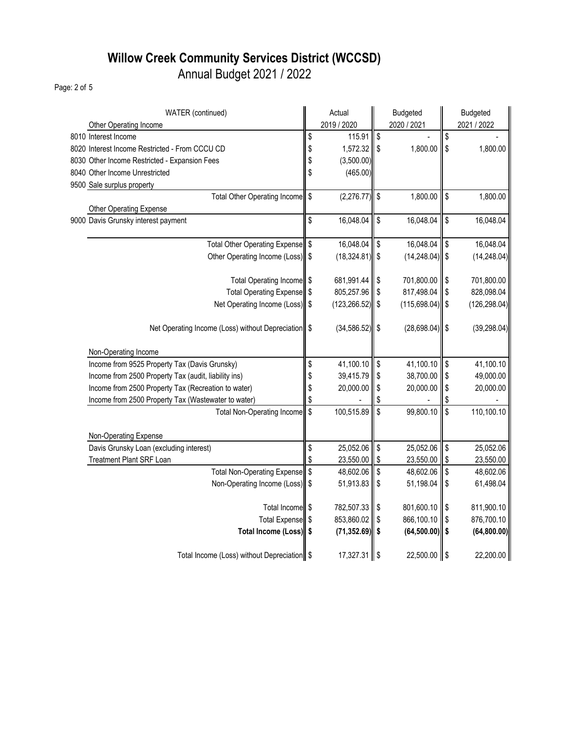# **Willow Creek Community Services District (WCCSD)**

Annual Budget 2021 / 2022

Page: 2 of 5

| WATER (continued)                                    |      | Actual             |            | <b>Budgeted</b>   |               | <b>Budgeted</b> |
|------------------------------------------------------|------|--------------------|------------|-------------------|---------------|-----------------|
| Other Operating Income                               |      | 2019 / 2020        |            | 2020 / 2021       |               | 2021 / 2022     |
| 8010 Interest Income                                 | \$   | 115.91             | \$         |                   | \$            |                 |
| 8020 Interest Income Restricted - From CCCU CD       | \$   | $1,572.32$ \$      |            | 1,800.00          | $\sqrt{3}$    | 1,800.00        |
| 8030 Other Income Restricted - Expansion Fees        | \$   | (3,500.00)         |            |                   |               |                 |
| 8040 Other Income Unrestricted                       | \$   | (465.00)           |            |                   |               |                 |
| 9500 Sale surplus property                           |      |                    |            |                   |               |                 |
| Total Other Operating Income \$                      |      | (2,276.77)         | $\sqrt{3}$ | 1,800.00          | $\sqrt{3}$    | 1,800.00        |
| Other Operating Expense                              |      |                    |            |                   |               |                 |
| 9000 Davis Grunsky interest payment                  | \$   | 16,048.04          | \$         | 16,048.04         | $\mathsf{\$}$ | 16,048.04       |
| Total Other Operating Expense \$                     |      | 16,048.04          | \$         | 16,048.04         | \$            | 16,048.04       |
| Other Operating Income (Loss) \$                     |      | $(18,324.81)$ \$   |            | $(14, 248.04)$ \$ |               | (14, 248.04)    |
|                                                      |      |                    |            |                   |               |                 |
| Total Operating Income \$                            |      | 681,991.44         | \$         | 701,800.00        | $\sqrt{3}$    | 701,800.00      |
| Total Operating Expense  \$                          |      | 805,257.96         | \$         | 817,498.04        | \$            | 828,098.04      |
| Net Operating Income (Loss) \$                       |      | $(123, 266.52)$ \$ |            | $(115,698.04)$ \$ |               | (126, 298.04)   |
|                                                      |      |                    |            |                   |               |                 |
| Net Operating Income (Loss) without Depreciation \$  |      | $(34, 586.52)$ \$  |            | $(28,698.04)$ \$  |               | (39, 298.04)    |
|                                                      |      |                    |            |                   |               |                 |
| Non-Operating Income                                 |      |                    |            |                   |               |                 |
| Income from 9525 Property Tax (Davis Grunsky)        | \$   | 41,100.10          | \$         | 41,100.10         | $\sqrt{3}$    | 41,100.10       |
| Income from 2500 Property Tax (audit, liability ins) | \$   | 39,415.79          | \$         | 38,700.00 \$      |               | 49,000.00       |
| Income from 2500 Property Tax (Recreation to water)  | \$   | 20,000.00          | \$         | 20,000.00         | \$            | 20,000.00       |
| Income from 2500 Property Tax (Wastewater to water)  | \$   |                    |            |                   |               |                 |
| <b>Total Non-Operating Income</b>                    | ll s | 100,515.89         | \$         | 99,800.10         | $\sqrt{2}$    | 110,100.10      |
|                                                      |      |                    |            |                   |               |                 |
| Non-Operating Expense                                |      |                    |            |                   |               |                 |
| Davis Grunsky Loan (excluding interest)              | \$   | 25,052.06          | \$         | 25,052.06         | \$            | 25,052.06       |
| Treatment Plant SRF Loan                             |      | 23,550.00          | \$         | 23,550.00         | S             | 23,550.00       |
| Total Non-Operating Expense \$                       |      | 48,602.06          | \$         | 48,602.06         | \$            | 48,602.06       |
| Non-Operating Income (Loss) \$                       |      | 51,913.83          | \$         | 51,198.04         | $\sqrt{2}$    | 61,498.04       |
|                                                      |      |                    |            |                   |               |                 |
| Total Income \$                                      |      | 782,507.33         | \$         | 801,600.10        | \$            | 811,900.10      |
| Total Expense \$                                     |      | 853,860.02         | \$         | 866,100.10        | \$            | 876,700.10      |
| Total Income (Loss) \$                               |      | $(71, 352.69)$ \$  |            | $(64,500.00)$ \$  |               | (64, 800.00)    |
|                                                      |      |                    |            |                   |               |                 |
| Total Income (Loss) without Depreciation   \$        |      | 17,327.31 \$       |            | 22,500.00 \$      |               | 22,200.00       |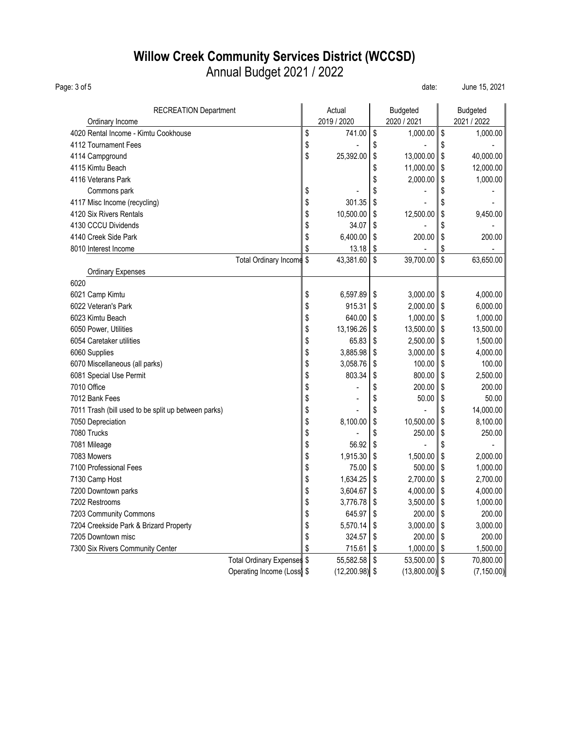### **Willow Creek Community Services District (WCCSD)** Annual Budget 2021 / 2022

Page: 3 of 5 date: June 15, 2021

| <b>RECREATION Department</b>                        | Actual          | <b>Budgeted</b>   | <b>Budgeted</b>   |
|-----------------------------------------------------|-----------------|-------------------|-------------------|
| Ordinary Income                                     | 2019 / 2020     | 2020 / 2021       | 2021 / 2022       |
| 4020 Rental Income - Kimtu Cookhouse                | \$<br>741.00    | \$<br>1,000.00    | \$<br>1,000.00    |
| 4112 Tournament Fees                                | \$              | \$                | \$                |
| 4114 Campground                                     | \$<br>25,392.00 | \$<br>13,000.00   | \$<br>40,000.00   |
| 4115 Kimtu Beach                                    |                 | \$<br>11,000.00   | \$<br>12,000.00   |
| 4116 Veterans Park                                  |                 | \$<br>2,000.00    | \$<br>1,000.00    |
| Commons park                                        | \$              | \$                | \$                |
| 4117 Misc Income (recycling)                        | \$<br>301.35    | \$                | \$                |
| 4120 Six Rivers Rentals                             | \$<br>10,500.00 | \$<br>12,500.00   | \$<br>9,450.00    |
| 4130 CCCU Dividends                                 | \$<br>34.07     | \$                | \$                |
| 4140 Creek Side Park                                | \$<br>6,400.00  | \$<br>200.00      | \$<br>200.00      |
| 8010 Interest Income                                | \$<br>13.18     | \$                | \$                |
| <b>Total Ordinary Income</b>                        | \$<br>43,381.60 | \$<br>39,700.00   | \$<br>63,650.00   |
| <b>Ordinary Expenses</b>                            |                 |                   |                   |
| 6020                                                |                 |                   |                   |
| 6021 Camp Kimtu                                     | \$<br>6,597.89  | \$<br>3,000.00    | \$<br>4,000.00    |
| 6022 Veteran's Park                                 | \$<br>915.31    | \$<br>2,000.00    | \$<br>6,000.00    |
| 6023 Kimtu Beach                                    | \$<br>640.00    | \$<br>1,000.00    | \$<br>1,000.00    |
| 6050 Power, Utilities                               | \$<br>13,196.26 | \$<br>13,500.00   | \$<br>13,500.00   |
| 6054 Caretaker utilities                            | \$<br>65.83     | \$<br>2,500.00    | \$<br>1,500.00    |
| 6060 Supplies                                       | \$<br>3,885.98  | \$<br>3,000.00    | \$<br>4,000.00    |
| 6070 Miscellaneous (all parks)                      | \$<br>3,058.76  | \$<br>100.00      | \$<br>100.00      |
| 6081 Special Use Permit                             | \$<br>803.34    | \$<br>800.00      | \$<br>2,500.00    |
| 7010 Office                                         | \$              | \$<br>200.00      | \$<br>200.00      |
| 7012 Bank Fees                                      | \$              | \$<br>50.00       | \$<br>50.00       |
| 7011 Trash (bill used to be split up between parks) | \$              | \$                | \$<br>14,000.00   |
| 7050 Depreciation                                   | \$<br>8,100.00  | \$<br>10,500.00   | \$<br>8,100.00    |
| 7080 Trucks                                         | \$              | \$<br>250.00      | \$<br>250.00      |
| 7081 Mileage                                        | \$<br>56.92     | \$                | \$                |
| 7083 Mowers                                         | \$<br>1,915.30  | \$<br>1,500.00    | \$<br>2,000.00    |
| 7100 Professional Fees                              | \$<br>75.00     | \$<br>500.00      | \$<br>1,000.00    |
| 7130 Camp Host                                      | \$<br>1,634.25  | \$<br>2,700.00    | \$<br>2,700.00    |
| 7200 Downtown parks                                 | \$<br>3,604.67  | \$<br>4,000.00    | \$<br>4,000.00    |
| 7202 Restrooms                                      | \$<br>3,776.78  | \$<br>3,500.00    | \$<br>1,000.00    |
| 7203 Community Commons                              | \$<br>645.97    | \$<br>200.00      | \$<br>200.00      |
| 7204 Creekside Park & Brizard Property              | \$<br>5,570.14  | \$<br>3,000.00    | \$<br>3,000.00    |
| 7205 Downtown misc                                  | \$<br>324.57    | \$<br>200.00      | \$<br>200.00      |
| 7300 Six Rivers Community Center                    | \$<br>715.61    | \$<br>1,000.00    | \$<br>1,500.00    |
| Total Ordinary Expenses \$                          | 55,582.58       | \$<br>53,500.00   | \$<br>70,800.00   |
| Operating Income (Loss \$                           | (12,200.98)     | \$<br>(13,800.00) | \$<br>(7, 150.00) |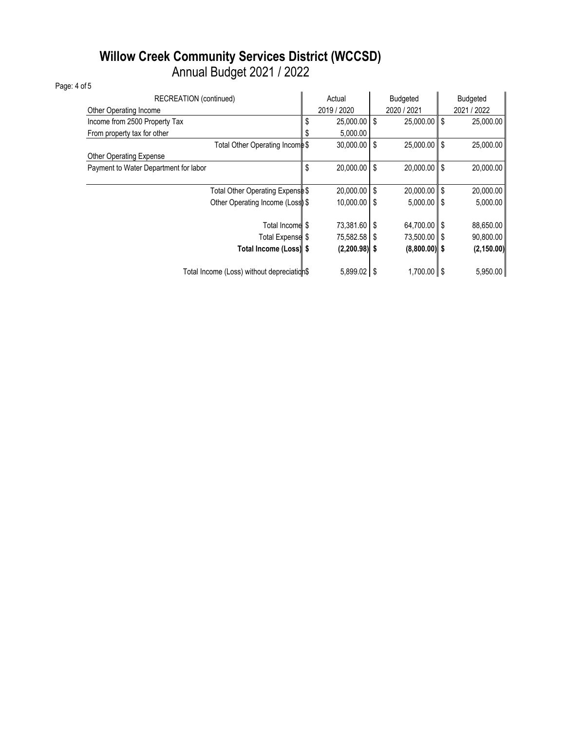### **Willow Creek Community Services District (WCCSD)** Annual Budget 2021 / 2022

Page: 4 of 5

| RECREATION (continued)                     |    | Actual          | <b>Budgeted</b> |                 |             | <b>Budgeted</b> |  |
|--------------------------------------------|----|-----------------|-----------------|-----------------|-------------|-----------------|--|
| Other Operating Income                     |    | 2019 / 2020     |                 | 2020 / 2021     | 2021 / 2022 |                 |  |
| Income from 2500 Property Tax              |    | $25,000.00$ \$  |                 | $25,000.00$ \$  |             | 25,000.00       |  |
| From property tax for other                |    | 5,000.00        |                 |                 |             |                 |  |
| Total Other Operating Income \$            |    | $30,000.00$ \$  |                 | 25.000.00 \$    |             | 25,000.00       |  |
| <b>Other Operating Expense</b>             |    |                 |                 |                 |             |                 |  |
| Payment to Water Department for labor      | \$ | 20,000.00 \$    |                 | 20,000.00 \$    |             | 20,000.00       |  |
|                                            |    |                 |                 |                 |             |                 |  |
| Total Other Operating Expense \$           |    | $20,000.00$ \$  |                 | $20,000.00$ \$  |             | 20,000.00       |  |
| Other Operating Income (Loss) \$           |    | $10,000.00$ \$  |                 | $5,000.00$ \$   |             | 5,000.00        |  |
|                                            |    |                 |                 |                 |             |                 |  |
| Total Income \$                            |    | 73,381.60 \$    |                 | 64,700.00 \$    |             | 88,650.00       |  |
| Total Expense <sup>\$</sup>                |    | 75,582.58 \$    |                 | 73,500.00 \$    |             | 90,800.00       |  |
| Total Income (Loss) \$                     |    | $(2,200.98)$ \$ |                 | $(8,800.00)$ \$ |             | (2, 150.00)     |  |
|                                            |    |                 |                 |                 |             |                 |  |
| Total Income (Loss) without depreciation\$ |    | $5,899.02$ \$   |                 | $1,700.00$ \$   |             | 5,950.00        |  |